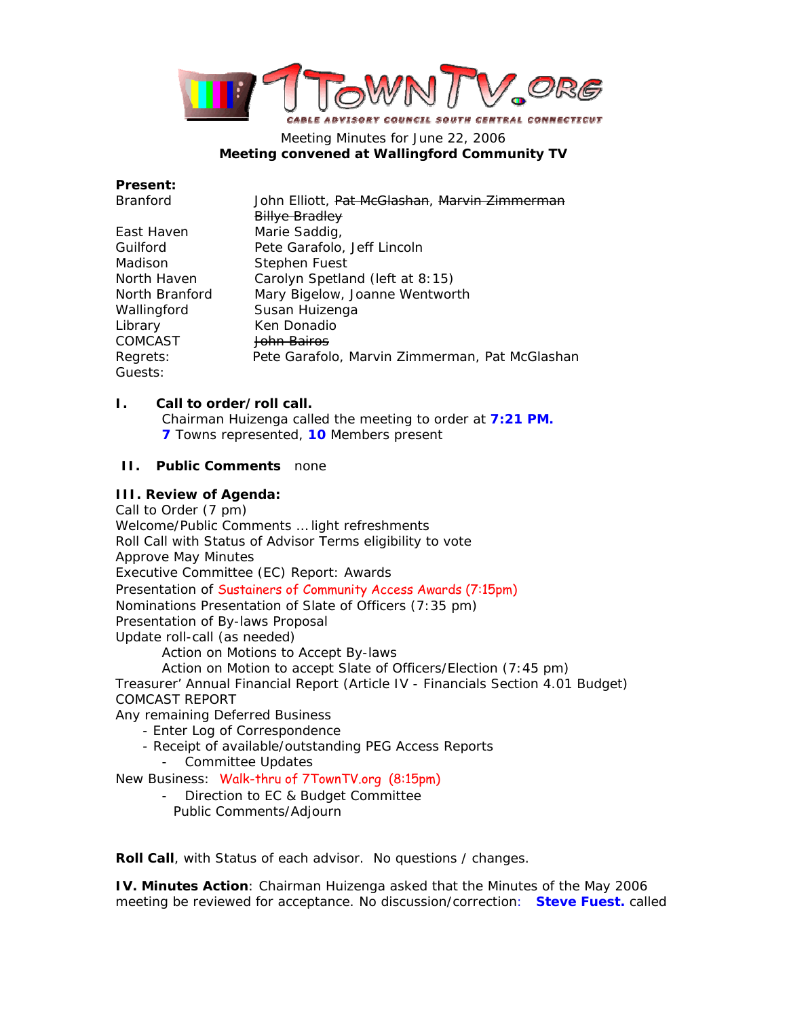

## Meeting Minutes for June 22, 2006 **Meeting convened at Wallingford Community TV**

**Present:** 

| <b>Branford</b> | John Elliott, Pat McGlashan, Marvin Zimmerman  |
|-----------------|------------------------------------------------|
|                 | <b>Billye Bradley</b>                          |
| East Haven      | Marie Saddig,                                  |
| Guilford        | Pete Garafolo, Jeff Lincoln                    |
| Madison         | Stephen Fuest                                  |
| North Haven     | Carolyn Spetland (left at 8:15)                |
| North Branford  | Mary Bigelow, Joanne Wentworth                 |
| Wallingford     | Susan Huizenga                                 |
| Library         | Ken Donadio                                    |
| <b>COMCAST</b>  | <del>John Bairos</del>                         |
| Regrets:        | Pete Garafolo, Marvin Zimmerman, Pat McGlashan |
| Guests:         |                                                |

## **I. Call to order/roll call.**

Chairman Huizenga called the meeting to order at **7:21 PM. 7** Towns represented, **10** Members present

## **II. Public Comments** none

### **III. Review of Agenda:**

Call to Order (7 pm) Welcome/Public Comments … *light refreshments* Roll Call with Status of Advisor Terms *eligibility to vote* Approve May Minutes Executive Committee (EC) Report: Awards Presentation of Sustainers of Community Access Awards (7:15pm) Nominations Presentation of Slate of Officers (7:35 pm) Presentation of By-laws Proposal Update roll-call (as needed) Action on Motions to Accept By-laws Action on Motion to accept Slate of Officers/Election (7:45 pm) Treasurer' Annual Financial Report (Article IV - Financials Section 4.01 Budget) COMCAST REPORT Any remaining Deferred Business - Enter Log of Correspondence - Receipt of available/outstanding PEG Access Reports - Committee Updates New Business: Walk-thru of 7TownTV.org (8:15pm) - Direction to EC & Budget Committee Public Comments/Adjourn

**Roll Call**, with Status of each advisor. No questions / changes.

**IV. Minutes Action**: Chairman Huizenga asked that the Minutes of the May 2006 meeting be reviewed for acceptance. No discussion/correction: **Steve Fuest.** called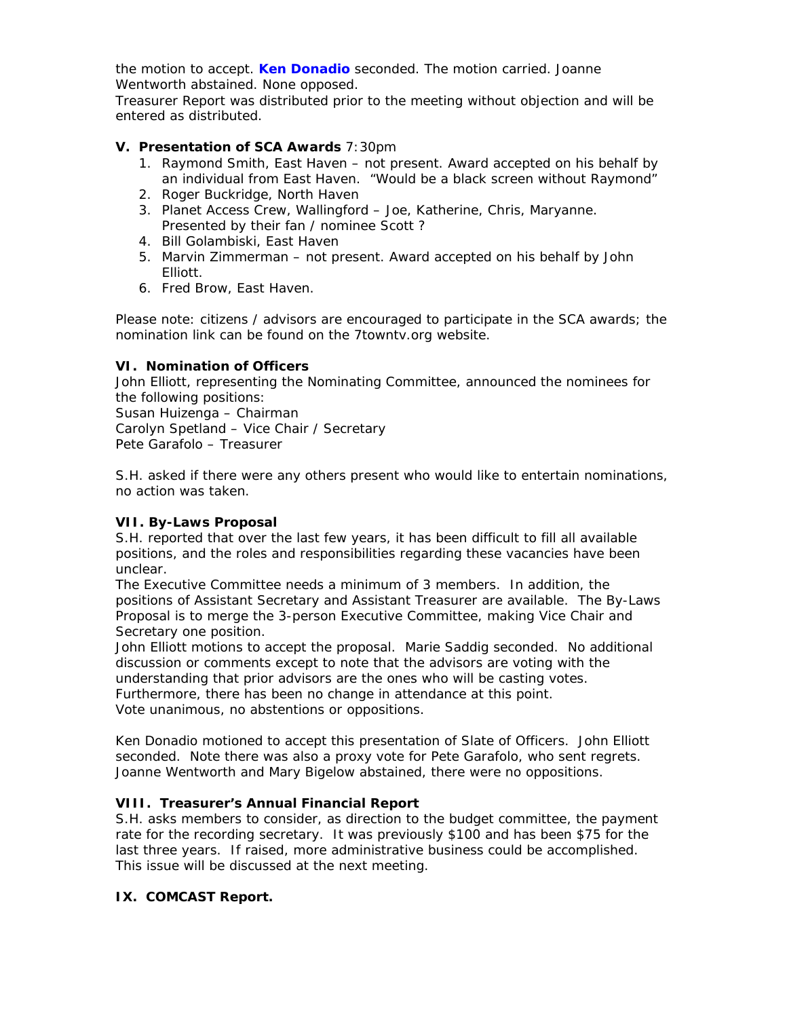the motion to accept. **Ken Donadio** seconded. The motion carried. Joanne Wentworth abstained. None opposed.

Treasurer Report was distributed prior to the meeting without objection and will be entered as distributed.

## **V. Presentation of SCA Awards** 7:30pm

- 1. Raymond Smith, East Haven not present. Award accepted on his behalf by an individual from East Haven. "Would be a black screen without Raymond"
- 2. Roger Buckridge, North Haven
- 3. Planet Access Crew, Wallingford Joe, Katherine, Chris, Maryanne. Presented by their fan / nominee Scott ?
- 4. Bill Golambiski, East Haven
- 5. Marvin Zimmerman not present. Award accepted on his behalf by John Elliott.
- 6. Fred Brow, East Haven.

Please note: citizens / advisors are encouraged to participate in the SCA awards; the nomination link can be found on the 7towntv.org website.

## **VI. Nomination of Officers**

John Elliott, representing the Nominating Committee, announced the nominees for the following positions: Susan Huizenga – Chairman Carolyn Spetland – Vice Chair / Secretary Pete Garafolo – Treasurer

S.H. asked if there were any others present who would like to entertain nominations, no action was taken.

# **VII. By-Laws Proposal**

S.H. reported that over the last few years, it has been difficult to fill all available positions, and the roles and responsibilities regarding these vacancies have been unclear.

The Executive Committee needs a minimum of 3 members. In addition, the positions of Assistant Secretary and Assistant Treasurer are available. The By-Laws Proposal is to merge the 3-person Executive Committee, making Vice Chair and Secretary one position.

John Elliott motions to accept the proposal. Marie Saddig seconded. No additional discussion or comments except to note that the advisors are voting with the understanding that prior advisors are the ones who will be casting votes. Furthermore, there has been no change in attendance at this point. Vote unanimous, no abstentions or oppositions.

Ken Donadio motioned to accept this presentation of Slate of Officers. John Elliott seconded. Note there was also a proxy vote for Pete Garafolo, who sent regrets. Joanne Wentworth and Mary Bigelow abstained, there were no oppositions.

### **VIII. Treasurer's Annual Financial Report**

S.H. asks members to consider, as direction to the budget committee, the payment rate for the recording secretary. It was previously \$100 and has been \$75 for the last three years. If raised, more administrative business could be accomplished. This issue will be discussed at the next meeting.

### **IX. COMCAST Report.**